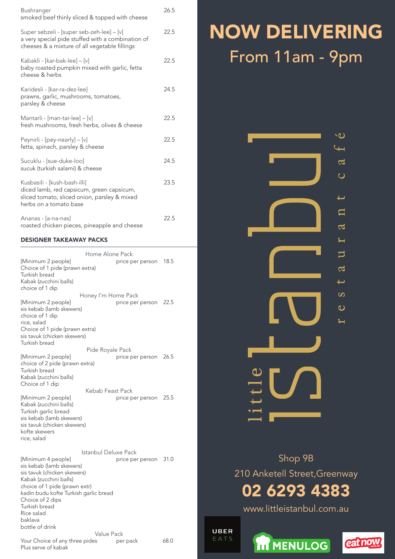| Bushranger<br>smoked beef thinly sliced & topped with cheese                                                                                        | 26.5 |
|-----------------------------------------------------------------------------------------------------------------------------------------------------|------|
| Super sebzeli - [super seb-zeh-lee] – [v]<br>a very special pide stuffed with a combination of<br>cheeses & a mixture of all vegetable fillings     | 22.5 |
| Kabakli - [kar-bak-lee] – [v]<br>baby roasted pumpkin mixed with garlic, fetta<br>cheese & herbs                                                    | 22.5 |
| Karidesli - [kar-ra-dez-lee]<br>prawns, garlic, mushrooms, tomatoes,<br>parsley & cheese                                                            | 24.5 |
| Mantarli - [man-tar-lee] – [v]<br>fresh mushrooms, fresh herbs, olives & cheese                                                                     | 22.5 |
| Peynirli - [pey-nearly] $-$ [v]<br>fetta, spinach, parsley & cheese                                                                                 | 22.5 |
| Sucuklu - [sue-duke-loo]<br>sucuk (turkish salami) & cheese                                                                                         | 24.5 |
| Kusbasili - [kush-bash-illi]<br>diced lamb, red capsicum, green capsicum,<br>sliced tomato, sliced onion, parsley & mixed<br>herbs on a tomato base | 23.5 |
| Ananas - [a-na-nas]<br>roasted chicken pieces, pineapple and cheese                                                                                 | 22.5 |

### DESIGNER TAKEAWAY PACKS

|                                                                                                                                                                                   | Home Alone Pack      |                  | 18.5 |
|-----------------------------------------------------------------------------------------------------------------------------------------------------------------------------------|----------------------|------------------|------|
| [Minimum 2 people]<br>Choice of 1 pide (prawn extra)<br>Turkish bread<br>Kabak (zucchini balls)<br>choice of 1 dip                                                                |                      | price per person |      |
|                                                                                                                                                                                   | Honey I'm Home Pack  |                  |      |
| [Minimum 2 people]<br>sis kebab (lamb skewers)<br>choice of 1 dip<br>rice, salad                                                                                                  |                      | price per person | 22.5 |
| Choice of 1 pide (prawn extra)<br>sis tavuk (chicken skewers)<br>Turkish bread                                                                                                    |                      |                  |      |
|                                                                                                                                                                                   | Pide Royale Pack     |                  |      |
| [Minimum 2 people]                                                                                                                                                                |                      | price per person | 26.5 |
| choice of 2 pide (prawn extra)<br>Turkish bread<br>Kabak (zucchini balls)<br>Choice of 1 dip                                                                                      |                      |                  |      |
|                                                                                                                                                                                   | Kebab Feast Pack     |                  |      |
| [Minimum 2 people]<br>Kabak (zucchini balls)<br>Turkish garlic bread<br>sis kebab (lamb skewers)<br>sis tavuk (chicken skewers)<br>kofte skewers<br>rice, salad                   |                      | price per person | 25.5 |
|                                                                                                                                                                                   | Istanbul Deluxe Pack |                  |      |
| [Minimum 4 people]<br>sis kebab (lamb skewers)<br>sis tavuk (chicken skewers)<br>Kabak (zucchini balls)<br>choice of 1 pide (prawn extr)<br>kadin budu kofte Turkish garlic bread |                      | price per person | 31.0 |
| Choice of 2 dips<br>Turkish bread                                                                                                                                                 |                      |                  |      |
| Rice salad<br>baklava<br>bottle of drink                                                                                                                                          |                      |                  |      |
|                                                                                                                                                                                   | Value Pack           |                  |      |
| Your Choice of any three pides<br>Plus serve of kabak                                                                                                                             |                      | per pack         | 68.0 |

# NOW Delivering From 11am - 9pm



Shop 9B

210 Anketell Street,Greenway

# 02 6293 4383

www.littleistanbul.com.au

UBER EATS